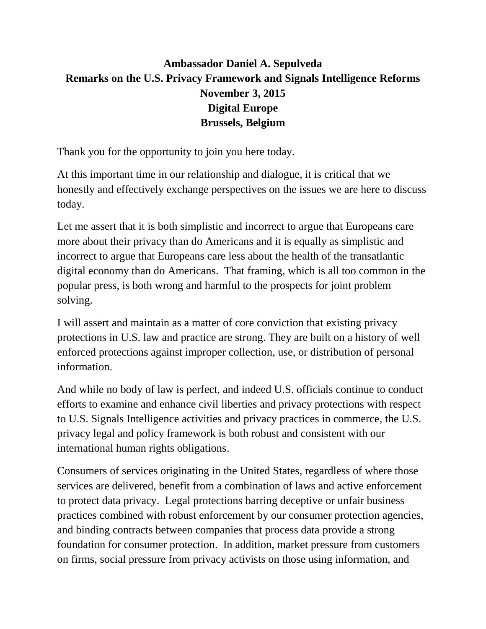## **Ambassador Daniel A. Sepulveda Remarks on the U.S. Privacy Framework and Signals Intelligence Reforms November 3, 2015 Digital Europe Brussels, Belgium**

Thank you for the opportunity to join you here today.

At this important time in our relationship and dialogue, it is critical that we honestly and effectively exchange perspectives on the issues we are here to discuss today.

Let me assert that it is both simplistic and incorrect to argue that Europeans care more about their privacy than do Americans and it is equally as simplistic and incorrect to argue that Europeans care less about the health of the transatlantic digital economy than do Americans. That framing, which is all too common in the popular press, is both wrong and harmful to the prospects for joint problem solving.

I will assert and maintain as a matter of core conviction that existing privacy protections in U.S. law and practice are strong. They are built on a history of well enforced protections against improper collection, use, or distribution of personal information.

And while no body of law is perfect, and indeed U.S. officials continue to conduct efforts to examine and enhance civil liberties and privacy protections with respect to U.S. Signals Intelligence activities and privacy practices in commerce, the U.S. privacy legal and policy framework is both robust and consistent with our international human rights obligations.

Consumers of services originating in the United States, regardless of where those services are delivered, benefit from a combination of laws and active enforcement to protect data privacy. Legal protections barring deceptive or unfair business practices combined with robust enforcement by our consumer protection agencies, and binding contracts between companies that process data provide a strong foundation for consumer protection. In addition, market pressure from customers on firms, social pressure from privacy activists on those using information, and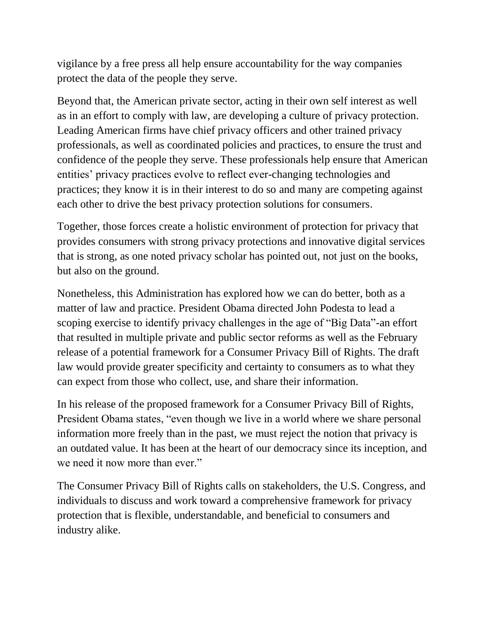vigilance by a free press all help ensure accountability for the way companies protect the data of the people they serve.

Beyond that, the American private sector, acting in their own self interest as well as in an effort to comply with law, are developing a culture of privacy protection. Leading American firms have chief privacy officers and other trained privacy professionals, as well as coordinated policies and practices, to ensure the trust and confidence of the people they serve. These professionals help ensure that American entities' privacy practices evolve to reflect ever-changing technologies and practices; they know it is in their interest to do so and many are competing against each other to drive the best privacy protection solutions for consumers.

Together, those forces create a holistic environment of protection for privacy that provides consumers with strong privacy protections and innovative digital services that is strong, as one noted privacy scholar has pointed out, not just on the books, but also on the ground.

Nonetheless, this Administration has explored how we can do better, both as a matter of law and practice. President Obama directed John Podesta to lead a scoping exercise to identify privacy challenges in the age of "Big Data"-an effort that resulted in multiple private and public sector reforms as well as the February release of a potential framework for a Consumer Privacy Bill of Rights. The draft law would provide greater specificity and certainty to consumers as to what they can expect from those who collect, use, and share their information.

In his release of the proposed framework for a Consumer Privacy Bill of Rights, President Obama states, "even though we live in a world where we share personal information more freely than in the past, we must reject the notion that privacy is an outdated value. It has been at the heart of our democracy since its inception, and we need it now more than ever."

The Consumer Privacy Bill of Rights calls on stakeholders, the U.S. Congress, and individuals to discuss and work toward a comprehensive framework for privacy protection that is flexible, understandable, and beneficial to consumers and industry alike.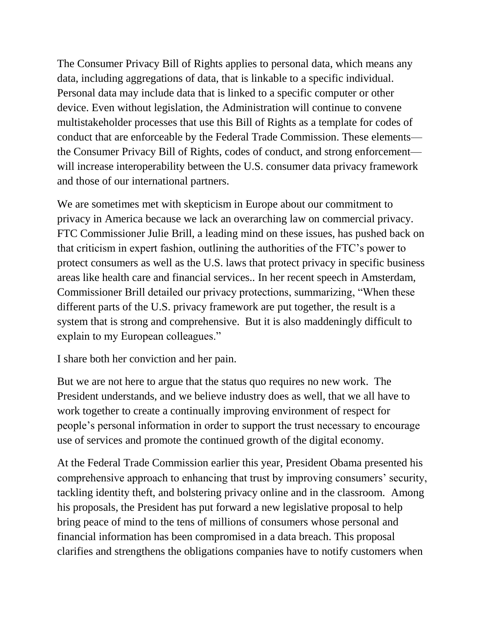The Consumer Privacy Bill of Rights applies to personal data, which means any data, including aggregations of data, that is linkable to a specific individual. Personal data may include data that is linked to a specific computer or other device. Even without legislation, the Administration will continue to convene multistakeholder processes that use this Bill of Rights as a template for codes of conduct that are enforceable by the Federal Trade Commission. These elements the Consumer Privacy Bill of Rights, codes of conduct, and strong enforcement will increase interoperability between the U.S. consumer data privacy framework and those of our international partners.

We are sometimes met with skepticism in Europe about our commitment to privacy in America because we lack an overarching law on commercial privacy. FTC Commissioner Julie Brill, a leading mind on these issues, has pushed back on that criticism in expert fashion, outlining the authorities of the FTC's power to protect consumers as well as the U.S. laws that protect privacy in specific business areas like health care and financial services.. In her recent speech in Amsterdam, Commissioner Brill detailed our privacy protections, summarizing, "When these different parts of the U.S. privacy framework are put together, the result is a system that is strong and comprehensive. But it is also maddeningly difficult to explain to my European colleagues."

I share both her conviction and her pain.

But we are not here to argue that the status quo requires no new work. The President understands, and we believe industry does as well, that we all have to work together to create a continually improving environment of respect for people's personal information in order to support the trust necessary to encourage use of services and promote the continued growth of the digital economy.

At the Federal Trade Commission earlier this year, President Obama presented his comprehensive approach to enhancing that trust by improving consumers' security, tackling identity theft, and bolstering privacy online and in the classroom. Among his proposals, the President has put forward a new legislative proposal to help bring peace of mind to the tens of millions of consumers whose personal and financial information has been compromised in a data breach. This proposal clarifies and strengthens the obligations companies have to notify customers when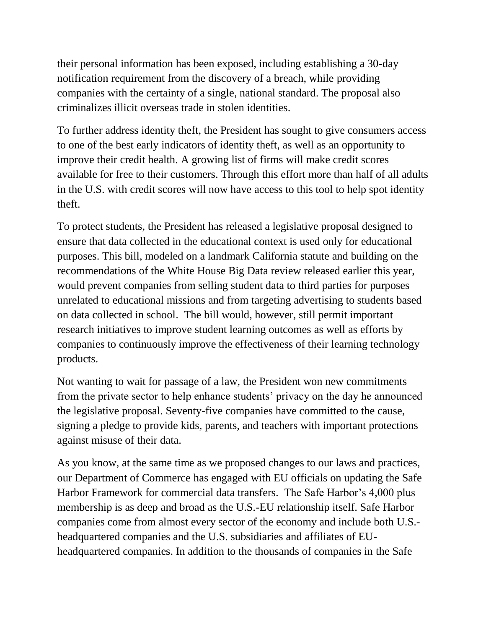their personal information has been exposed, including establishing a 30-day notification requirement from the discovery of a breach, while providing companies with the certainty of a single, national standard. The proposal also criminalizes illicit overseas trade in stolen identities.

To further address identity theft, the President has sought to give consumers access to one of the best early indicators of identity theft, as well as an opportunity to improve their credit health. A growing list of firms will make credit scores available for free to their customers. Through this effort more than half of all adults in the U.S. with credit scores will now have access to this tool to help spot identity theft.

To protect students, the President has released a legislative proposal designed to ensure that data collected in the educational context is used only for educational purposes. This bill, modeled on a landmark California statute and building on the recommendations of the White House Big Data review released earlier this year, would prevent companies from selling student data to third parties for purposes unrelated to educational missions and from targeting advertising to students based on data collected in school. The bill would, however, still permit important research initiatives to improve student learning outcomes as well as efforts by companies to continuously improve the effectiveness of their learning technology products.

Not wanting to wait for passage of a law, the President won new commitments from the private sector to help enhance students' privacy on the day he announced the legislative proposal. Seventy-five companies have committed to the cause, signing a pledge to provide kids, parents, and teachers with important protections against misuse of their data.

As you know, at the same time as we proposed changes to our laws and practices, our Department of Commerce has engaged with EU officials on updating the Safe Harbor Framework for commercial data transfers. The Safe Harbor's 4,000 plus membership is as deep and broad as the U.S.-EU relationship itself. Safe Harbor companies come from almost every sector of the economy and include both U.S. headquartered companies and the U.S. subsidiaries and affiliates of EUheadquartered companies. In addition to the thousands of companies in the Safe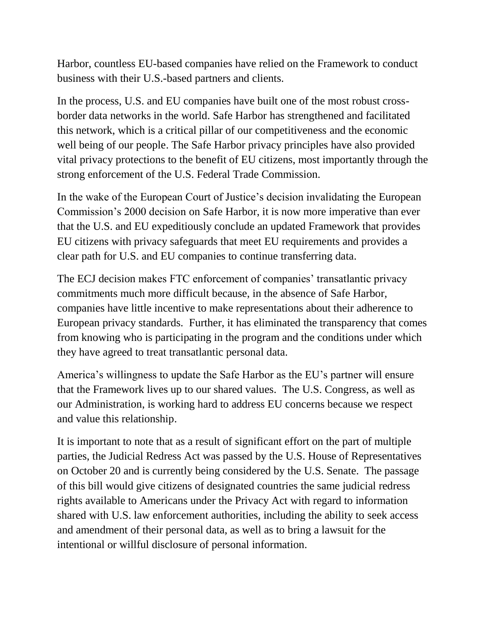Harbor, countless EU-based companies have relied on the Framework to conduct business with their U.S.-based partners and clients.

In the process, U.S. and EU companies have built one of the most robust crossborder data networks in the world. Safe Harbor has strengthened and facilitated this network, which is a critical pillar of our competitiveness and the economic well being of our people. The Safe Harbor privacy principles have also provided vital privacy protections to the benefit of EU citizens, most importantly through the strong enforcement of the U.S. Federal Trade Commission.

In the wake of the European Court of Justice's decision invalidating the European Commission's 2000 decision on Safe Harbor, it is now more imperative than ever that the U.S. and EU expeditiously conclude an updated Framework that provides EU citizens with privacy safeguards that meet EU requirements and provides a clear path for U.S. and EU companies to continue transferring data.

The ECJ decision makes FTC enforcement of companies' transatlantic privacy commitments much more difficult because, in the absence of Safe Harbor, companies have little incentive to make representations about their adherence to European privacy standards. Further, it has eliminated the transparency that comes from knowing who is participating in the program and the conditions under which they have agreed to treat transatlantic personal data.

America's willingness to update the Safe Harbor as the EU's partner will ensure that the Framework lives up to our shared values. The U.S. Congress, as well as our Administration, is working hard to address EU concerns because we respect and value this relationship.

It is important to note that as a result of significant effort on the part of multiple parties, the Judicial Redress Act was passed by the U.S. House of Representatives on October 20 and is currently being considered by the U.S. Senate. The passage of this bill would give citizens of designated countries the same judicial redress rights available to Americans under the Privacy Act with regard to information shared with U.S. law enforcement authorities, including the ability to seek access and amendment of their personal data, as well as to bring a lawsuit for the intentional or willful disclosure of personal information.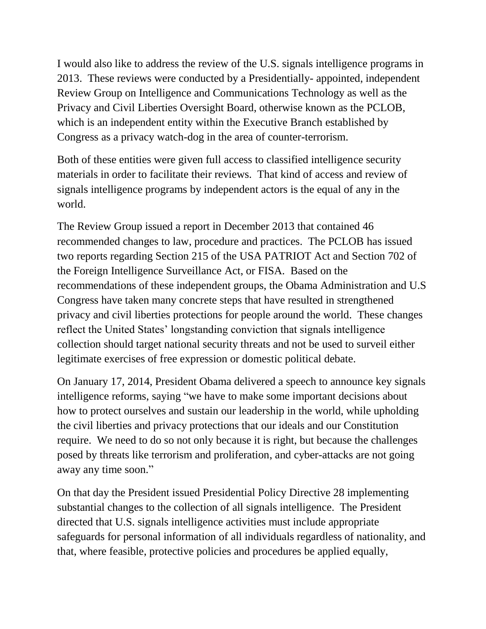I would also like to address the review of the U.S. signals intelligence programs in 2013. These reviews were conducted by a Presidentially- appointed, independent Review Group on Intelligence and Communications Technology as well as the Privacy and Civil Liberties Oversight Board, otherwise known as the PCLOB, which is an independent entity within the Executive Branch established by Congress as a privacy watch-dog in the area of counter-terrorism.

Both of these entities were given full access to classified intelligence security materials in order to facilitate their reviews. That kind of access and review of signals intelligence programs by independent actors is the equal of any in the world.

The Review Group issued a report in December 2013 that contained 46 recommended changes to law, procedure and practices. The PCLOB has issued two reports regarding Section 215 of the USA PATRIOT Act and Section 702 of the Foreign Intelligence Surveillance Act, or FISA. Based on the recommendations of these independent groups, the Obama Administration and U.S Congress have taken many concrete steps that have resulted in strengthened privacy and civil liberties protections for people around the world. These changes reflect the United States' longstanding conviction that signals intelligence collection should target national security threats and not be used to surveil either legitimate exercises of free expression or domestic political debate.

On January 17, 2014, President Obama delivered a speech to announce key signals intelligence reforms, saying "we have to make some important decisions about how to protect ourselves and sustain our leadership in the world, while upholding the civil liberties and privacy protections that our ideals and our Constitution require. We need to do so not only because it is right, but because the challenges posed by threats like terrorism and proliferation, and cyber-attacks are not going away any time soon."

On that day the President issued Presidential Policy Directive 28 implementing substantial changes to the collection of all signals intelligence. The President directed that U.S. signals intelligence activities must include appropriate safeguards for personal information of all individuals regardless of nationality, and that, where feasible, protective policies and procedures be applied equally,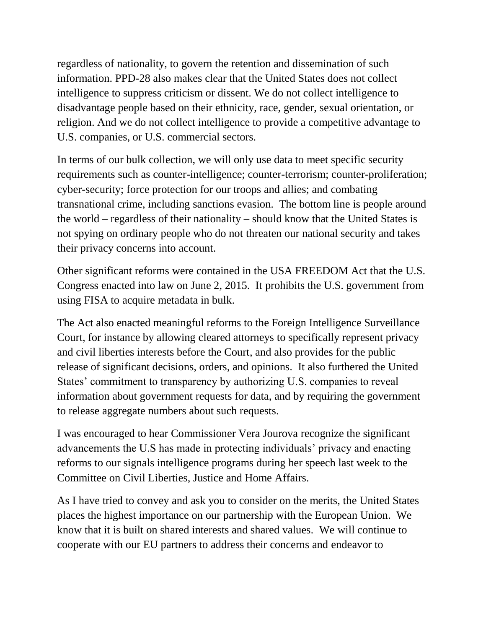regardless of nationality, to govern the retention and dissemination of such information. PPD-28 also makes clear that the United States does not collect intelligence to suppress criticism or dissent. We do not collect intelligence to disadvantage people based on their ethnicity, race, gender, sexual orientation, or religion. And we do not collect intelligence to provide a competitive advantage to U.S. companies, or U.S. commercial sectors.

In terms of our bulk collection, we will only use data to meet specific security requirements such as counter-intelligence; counter-terrorism; counter-proliferation; cyber-security; force protection for our troops and allies; and combating transnational crime, including sanctions evasion. The bottom line is people around the world – regardless of their nationality – should know that the United States is not spying on ordinary people who do not threaten our national security and takes their privacy concerns into account.

Other significant reforms were contained in the USA FREEDOM Act that the U.S. Congress enacted into law on June 2, 2015. It prohibits the U.S. government from using FISA to acquire metadata in bulk.

The Act also enacted meaningful reforms to the Foreign Intelligence Surveillance Court, for instance by allowing cleared attorneys to specifically represent privacy and civil liberties interests before the Court, and also provides for the public release of significant decisions, orders, and opinions. It also furthered the United States' commitment to transparency by authorizing U.S. companies to reveal information about government requests for data, and by requiring the government to release aggregate numbers about such requests.

I was encouraged to hear Commissioner Vera Jourova recognize the significant advancements the U.S has made in protecting individuals' privacy and enacting reforms to our signals intelligence programs during her speech last week to the Committee on Civil Liberties, Justice and Home Affairs.

As I have tried to convey and ask you to consider on the merits, the United States places the highest importance on our partnership with the European Union. We know that it is built on shared interests and shared values. We will continue to cooperate with our EU partners to address their concerns and endeavor to